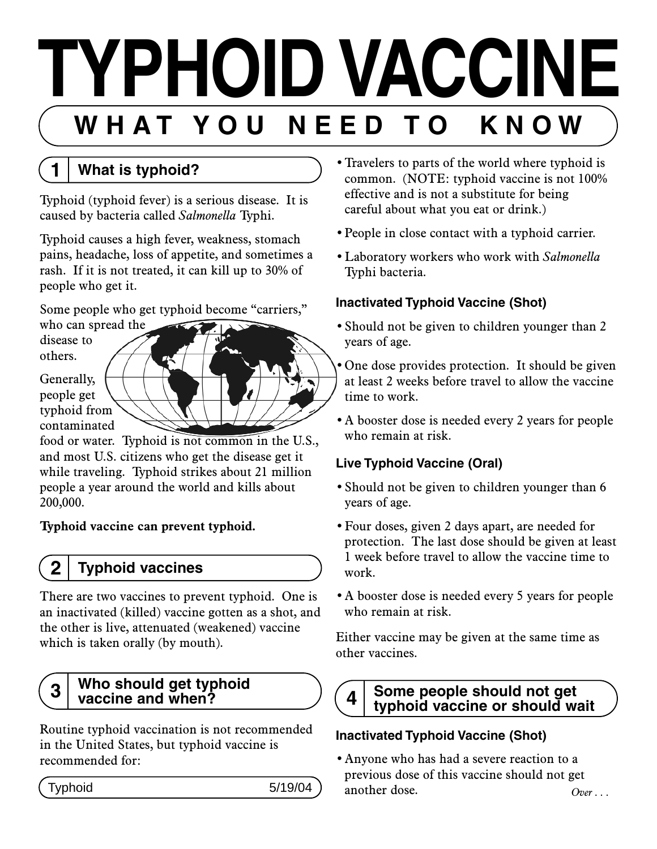# **TYPHOID VACCINE W H A T Y O U N E E D T O K N O W**

**1 What is typhoid?**

Typhoid (typhoid fever) is a serious disease. It is caused by bacteria called *Salmonella* Typhi.

Typhoid causes a high fever, weakness, stomach pains, headache, loss of appetite, and sometimes a rash. If it is not treated, it can kill up to 30% of people who get it.

Some people who get typhoid become "carriers,"

who can spread the disease to others.

Generally, people get

typhoid from contaminated

food or water. Typhoid is not common in the U.S., and most U.S. citizens who get the disease get it while traveling. Typhoid strikes about 21 million people a year around the world and kills about 200,000.

## **Typhoid vaccine can prevent typhoid.**

## **2 Typhoid vaccines**

There are two vaccines to prevent typhoid. One is an inactivated (killed) vaccine gotten as a shot, and the other is live, attenuated (weakened) vaccine which is taken orally (by mouth).

#### **3 Who should get typhoid vaccine and when?**

Routine typhoid vaccination is not recommended in the United States, but typhoid vaccine is recommended for:

- Travelers to parts of the world where typhoid is common. (NOTE: typhoid vaccine is not 100% effective and is not a substitute for being careful about what you eat or drink.)
- •People in close contact with a typhoid carrier.
- •Laboratory workers who work with *Salmonella*  Typhi bacteria.

## **Inactivated Typhoid Vaccine (Shot)**

- •Should not be given to children younger than 2 years of age.
- •One dose provides protection. It should be given at least 2 weeks before travel to allow the vaccine time to work.
- •A booster dose is needed every 2 years for people who remain at risk.

## **Live Typhoid Vaccine (Oral)**

- Should not be given to children younger than 6 years of age.
- •Four doses, given 2 days apart, are needed for protection. The last dose should be given at least 1 week before travel to allow the vaccine time to work.
- •A booster dose is needed every 5 years for people who remain at risk.

Either vaccine may be given at the same time as other vaccines.



### **4 Some people should not get typhoid vaccine or should wait**

## **Inactivated Typhoid Vaccine (Shot)**

•Anyone who has had a severe reaction to a previous dose of this vaccine should not get  $\mathsf{Typhoid}$   $5/19/04$  another dose.  $\mathsf{Over} \dots$